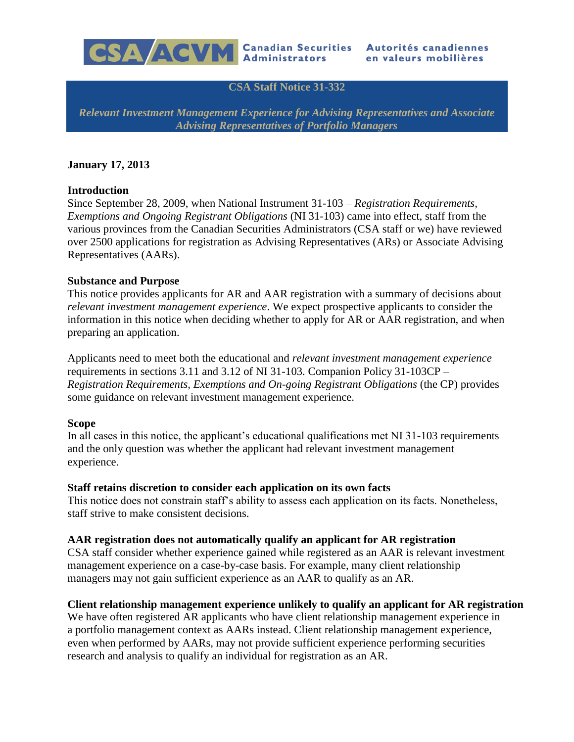

#### **CSA Staff Notice 31-332**

*Relevant Investment Management Experience for Advising Representatives and Associate Advising Representatives of Portfolio Managers* 

## **January 17, 2013**

## **Introduction**

Since September 28, 2009, when National Instrument 31-103 – *Registration Requirements, Exemptions and Ongoing Registrant Obligations* (NI 31-103) came into effect, staff from the various provinces from the Canadian Securities Administrators (CSA staff or we) have reviewed over 2500 applications for registration as Advising Representatives (ARs) or Associate Advising Representatives (AARs).

#### **Substance and Purpose**

This notice provides applicants for AR and AAR registration with a summary of decisions about *relevant investment management experience*. We expect prospective applicants to consider the information in this notice when deciding whether to apply for AR or AAR registration, and when preparing an application.

Applicants need to meet both the educational and *relevant investment management experience*  requirements in sections 3.11 and 3.12 of NI 31-103. Companion Policy 31-103CP – *Registration Requirements, Exemptions and On-going Registrant Obligations* (the CP) provides some guidance on relevant investment management experience.

#### **Scope**

In all cases in this notice, the applicant's educational qualifications met NI 31-103 requirements and the only question was whether the applicant had relevant investment management experience.

#### **Staff retains discretion to consider each application on its own facts**

This notice does not constrain staff's ability to assess each application on its facts. Nonetheless, staff strive to make consistent decisions.

## **AAR registration does not automatically qualify an applicant for AR registration**

CSA staff consider whether experience gained while registered as an AAR is relevant investment management experience on a case-by-case basis. For example, many client relationship managers may not gain sufficient experience as an AAR to qualify as an AR.

## **Client relationship management experience unlikely to qualify an applicant for AR registration**

We have often registered AR applicants who have client relationship management experience in a portfolio management context as AARs instead. Client relationship management experience, even when performed by AARs, may not provide sufficient experience performing securities research and analysis to qualify an individual for registration as an AR.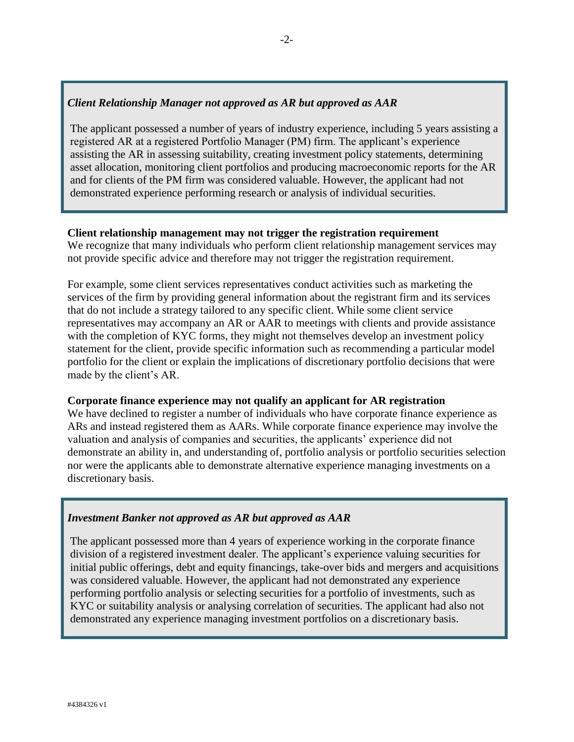## *Client Relationship Manager not approved as AR but approved as AAR*

The applicant possessed a number of years of industry experience, including 5 years assisting a registered AR at a registered Portfolio Manager (PM) firm. The applicant's experience assisting the AR in assessing suitability, creating investment policy statements, determining asset allocation, monitoring client portfolios and producing macroeconomic reports for the AR and for clients of the PM firm was considered valuable. However, the applicant had not demonstrated experience performing research or analysis of individual securities.

#### **Client relationship management may not trigger the registration requirement**

We recognize that many individuals who perform client relationship management services may not provide specific advice and therefore may not trigger the registration requirement.

For example, some client services representatives conduct activities such as marketing the services of the firm by providing general information about the registrant firm and its services that do not include a strategy tailored to any specific client. While some client service representatives may accompany an AR or AAR to meetings with clients and provide assistance with the completion of KYC forms, they might not themselves develop an investment policy statement for the client, provide specific information such as recommending a particular model portfolio for the client or explain the implications of discretionary portfolio decisions that were made by the client's AR.

#### **Corporate finance experience may not qualify an applicant for AR registration**

We have declined to register a number of individuals who have corporate finance experience as ARs and instead registered them as AARs. While corporate finance experience may involve the valuation and analysis of companies and securities, the applicants' experience did not demonstrate an ability in, and understanding of, portfolio analysis or portfolio securities selection nor were the applicants able to demonstrate alternative experience managing investments on a discretionary basis.

## *Investment Banker not approved as AR but approved as AAR*

The applicant possessed more than 4 years of experience working in the corporate finance division of a registered investment dealer. The applicant's experience valuing securities for initial public offerings, debt and equity financings, take-over bids and mergers and acquisitions was considered valuable. However, the applicant had not demonstrated any experience performing portfolio analysis or selecting securities for a portfolio of investments, such as KYC or suitability analysis or analysing correlation of securities. The applicant had also not demonstrated any experience managing investment portfolios on a discretionary basis.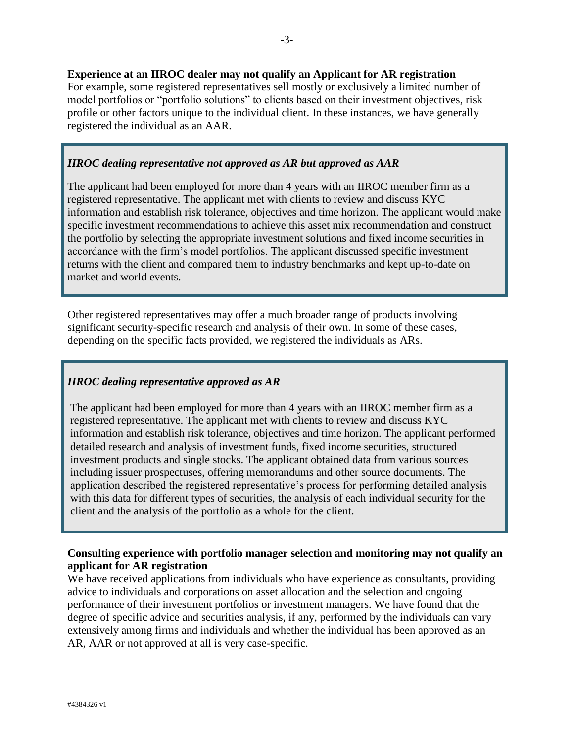## **Experience at an IIROC dealer may not qualify an Applicant for AR registration**

For example, some registered representatives sell mostly or exclusively a limited number of model portfolios or "portfolio solutions" to clients based on their investment objectives, risk profile or other factors unique to the individual client. In these instances, we have generally registered the individual as an AAR.

## *IIROC dealing representative not approved as AR but approved as AAR*

The applicant had been employed for more than 4 years with an IIROC member firm as a registered representative. The applicant met with clients to review and discuss KYC information and establish risk tolerance, objectives and time horizon. The applicant would make specific investment recommendations to achieve this asset mix recommendation and construct the portfolio by selecting the appropriate investment solutions and fixed income securities in accordance with the firm's model portfolios. The applicant discussed specific investment returns with the client and compared them to industry benchmarks and kept up-to-date on market and world events.

Other registered representatives may offer a much broader range of products involving significant security-specific research and analysis of their own. In some of these cases, depending on the specific facts provided, we registered the individuals as ARs.

## *IIROC dealing representative approved as AR*

The applicant had been employed for more than 4 years with an IIROC member firm as a registered representative. The applicant met with clients to review and discuss KYC information and establish risk tolerance, objectives and time horizon. The applicant performed detailed research and analysis of investment funds, fixed income securities, structured investment products and single stocks. The applicant obtained data from various sources including issuer prospectuses, offering memorandums and other source documents. The application described the registered representative's process for performing detailed analysis with this data for different types of securities, the analysis of each individual security for the client and the analysis of the portfolio as a whole for the client.

## **Consulting experience with portfolio manager selection and monitoring may not qualify an applicant for AR registration**

We have received applications from individuals who have experience as consultants, providing advice to individuals and corporations on asset allocation and the selection and ongoing performance of their investment portfolios or investment managers. We have found that the degree of specific advice and securities analysis, if any, performed by the individuals can vary extensively among firms and individuals and whether the individual has been approved as an AR, AAR or not approved at all is very case-specific.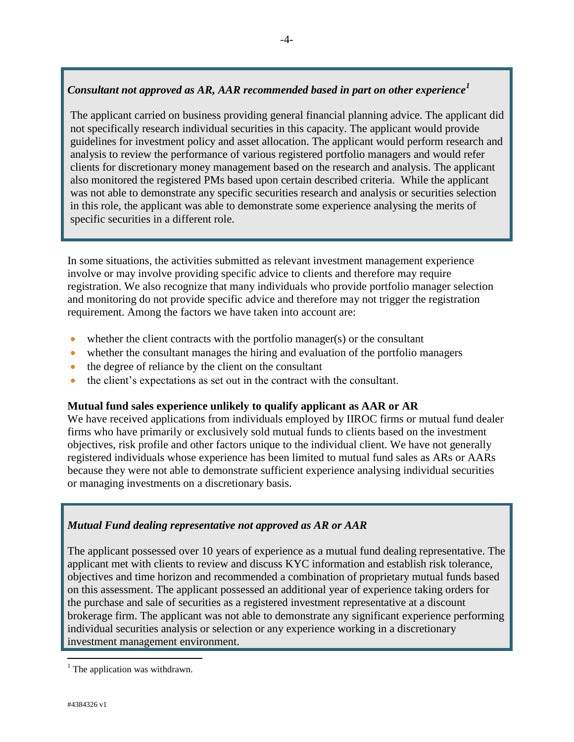## *Consultant not approved as AR, AAR recommended based in part on other experience<sup>1</sup>*

The applicant carried on business providing general financial planning advice. The applicant did not specifically research individual securities in this capacity. The applicant would provide guidelines for investment policy and asset allocation. The applicant would perform research and analysis to review the performance of various registered portfolio managers and would refer clients for discretionary money management based on the research and analysis. The applicant also monitored the registered PMs based upon certain described criteria. While the applicant was not able to demonstrate any specific securities research and analysis or securities selection in this role, the applicant was able to demonstrate some experience analysing the merits of specific securities in a different role.

In some situations, the activities submitted as relevant investment management experience involve or may involve providing specific advice to clients and therefore may require registration. We also recognize that many individuals who provide portfolio manager selection and monitoring do not provide specific advice and therefore may not trigger the registration requirement. Among the factors we have taken into account are:

- whether the client contracts with the portfolio manager(s) or the consultant
- whether the consultant manages the hiring and evaluation of the portfolio managers
- $\bullet$  the degree of reliance by the client on the consultant
- the client's expectations as set out in the contract with the consultant.

## **Mutual fund sales experience unlikely to qualify applicant as AAR or AR**

We have received applications from individuals employed by IIROC firms or mutual fund dealer firms who have primarily or exclusively sold mutual funds to clients based on the investment objectives, risk profile and other factors unique to the individual client. We have not generally registered individuals whose experience has been limited to mutual fund sales as ARs or AARs because they were not able to demonstrate sufficient experience analysing individual securities or managing investments on a discretionary basis.

# *Mutual Fund dealing representative not approved as AR or AAR*

The applicant possessed over 10 years of experience as a mutual fund dealing representative. The applicant met with clients to review and discuss KYC information and establish risk tolerance, objectives and time horizon and recommended a combination of proprietary mutual funds based on this assessment. The applicant possessed an additional year of experience taking orders for the purchase and sale of securities as a registered investment representative at a discount brokerage firm. The applicant was not able to demonstrate any significant experience performing individual securities analysis or selection or any experience working in a discretionary investment management environment.

 $\overline{a}$ 

 $<sup>1</sup>$  The application was withdrawn.</sup>